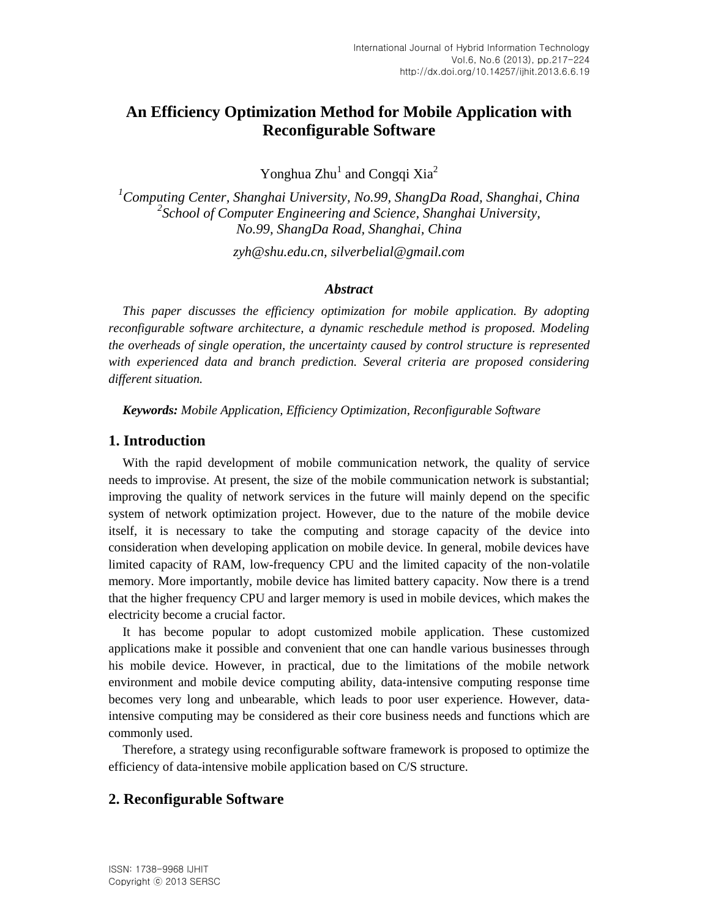# **An Efficiency Optimization Method for Mobile Application with Reconfigurable Software**

Yonghua  $Zhu^1$  and Congqi Xia<sup>2</sup>

*<sup>1</sup>Computing Center, Shanghai University, No.99, ShangDa Road, Shanghai, China 2 School of Computer Engineering and Science, Shanghai University, No.99, ShangDa Road, Shanghai, China*

*zyh@shu.edu.cn, silverbelial@gmail.com*

#### *Abstract*

*This paper discusses the efficiency optimization for mobile application. By adopting reconfigurable software architecture, a dynamic reschedule method is proposed. Modeling the overheads of single operation, the uncertainty caused by control structure is represented with experienced data and branch prediction. Several criteria are proposed considering different situation.*

*Keywords: Mobile Application, Efficiency Optimization, Reconfigurable Software*

### **1. Introduction**

With the rapid development of mobile communication network, the quality of service needs to improvise. At present, the size of the mobile communication network is substantial; improving the quality of network services in the future will mainly depend on the specific system of network optimization project. However, due to the nature of the mobile device itself, it is necessary to take the computing and storage capacity of the device into consideration when developing application on mobile device. In general, mobile devices have limited capacity of RAM, low-frequency CPU and the limited capacity of the non-volatile memory. More importantly, mobile device has limited battery capacity. Now there is a trend that the higher frequency CPU and larger memory is used in mobile devices, which makes the electricity become a crucial factor.

It has become popular to adopt customized mobile application. These customized applications make it possible and convenient that one can handle various businesses through his mobile device. However, in practical, due to the limitations of the mobile network environment and mobile device computing ability, data-intensive computing response time becomes very long and unbearable, which leads to poor user experience. However, dataintensive computing may be considered as their core business needs and functions which are commonly used.

Therefore, a strategy using reconfigurable software framework is proposed to optimize the efficiency of data-intensive mobile application based on C/S structure.

### **2. Reconfigurable Software**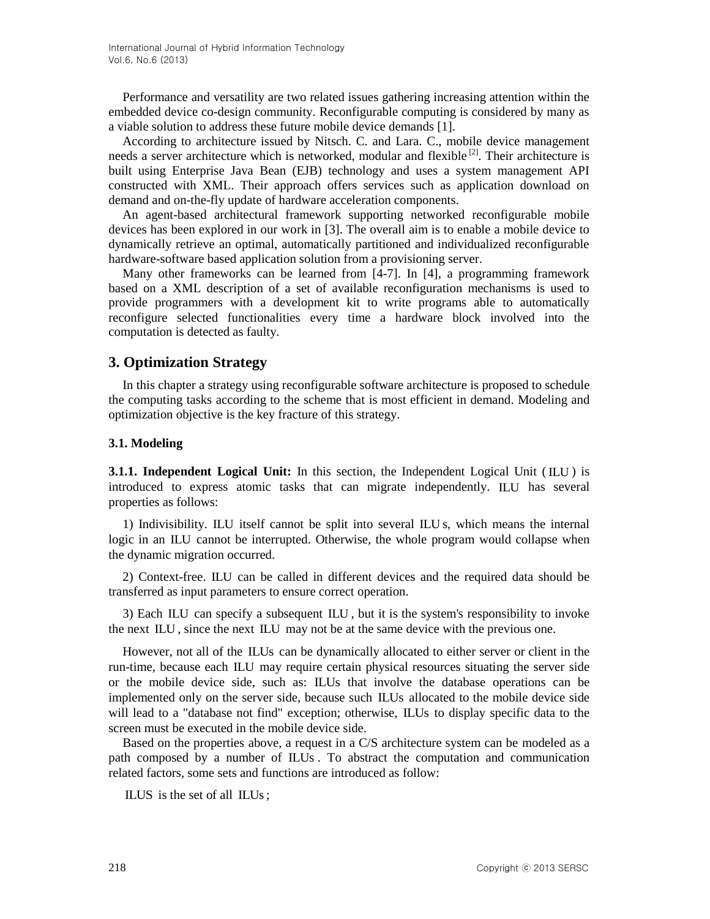Performance and versatility are two related issues gathering increasing attention within the embedded device co-design community. Reconfigurable computing is considered by many as a viable solution to address these future mobile device demands [1].

According to architecture issued by Nitsch. C. and Lara. C., mobile device management needs a server architecture which is networked, modular and flexible<sup>[2]</sup>. Their architecture is built using Enterprise Java Bean (EJB) technology and uses a system management API constructed with XML. Their approach offers services such as application download on demand and on-the-fly update of hardware acceleration components.

An agent-based architectural framework supporting networked reconfigurable mobile devices has been explored in our work in [3]. The overall aim is to enable a mobile device to dynamically retrieve an optimal, automatically partitioned and individualized reconfigurable hardware-software based application solution from a provisioning server.

Many other frameworks can be learned from [4-7]. In [4], a programming framework based on a XML description of a set of available reconfiguration mechanisms is used to provide programmers with a development kit to write programs able to automatically reconfigure selected functionalities every time a hardware block involved into the computation is detected as faulty.

### **3. Optimization Strategy**

In this chapter a strategy using reconfigurable software architecture is proposed to schedule the computing tasks according to the scheme that is most efficient in demand. Modeling and optimization objective is the key fracture of this strategy.

### **3.1. Modeling**

**3.1.1. Independent Logical Unit:** In this section, the Independent Logical Unit (ILU) is introduced to express atomic tasks that can migrate independently. ILU has several properties as follows:

1) Indivisibility. ILU itself cannot be split into several ILU s, which means the internal logic in an ILU cannot be interrupted. Otherwise, the whole program would collapse when the dynamic migration occurred.

2) Context-free. ILU can be called in different devices and the required data should be transferred as input parameters to ensure correct operation.

3) Each ILU can specify a subsequent ILU , but it is the system's responsibility to invoke the next ILU , since the next ILU may not be at the same device with the previous one.

However, not all of the ILUs can be dynamically allocated to either server or client in the run-time, because each ILU may require certain physical resources situating the server side or the mobile device side, such as: ILUs that involve the database operations can be implemented only on the server side, because such ILUs allocated to the mobile device side will lead to a "database not find" exception; otherwise, ILUs to display specific data to the screen must be executed in the mobile device side.

Based on the properties above, a request in a C/S architecture system can be modeled as a path composed by a number of ILUs . To abstract the computation and communication related factors, some sets and functions are introduced as follow:

ILUS is the set of all ILUs ;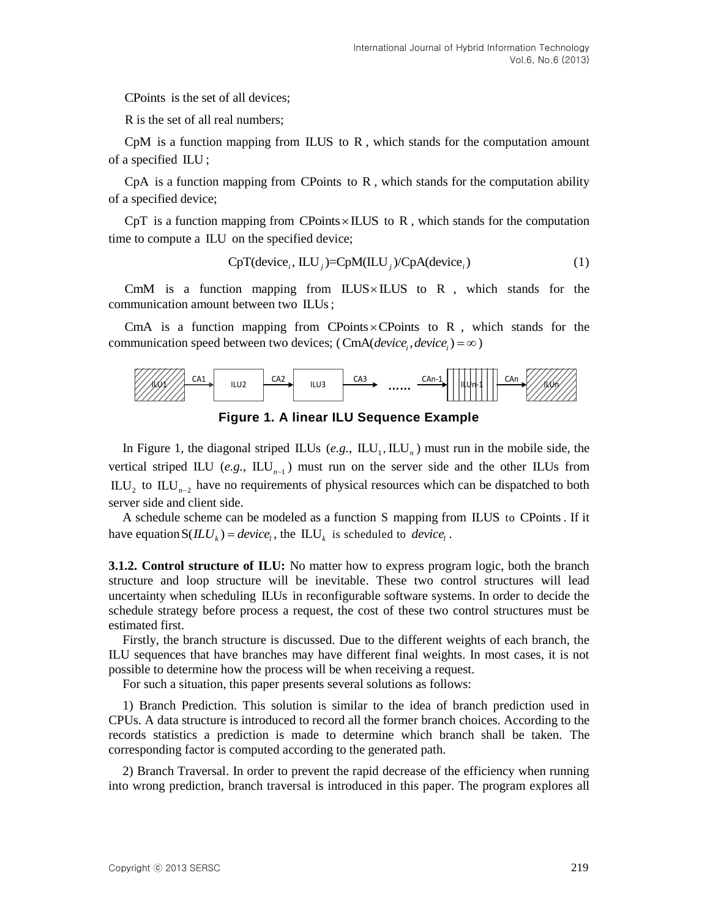CPoints is the set of all devices:

R is the set of all real numbers;

CpM is a function mapping from ILUS to R , which stands for the computation amount of a specified ILU ;

CpA is a function mapping from CPoints to R, which stands for the computation ability of a specified device;

CpT is a function mapping from CPoints $\times$ ILUS to R, which stands for the computation time to compute a ILU on the specified device;<br> $CpT(device<sub>i</sub>, ILU<sub>j</sub>) = CpM(ILU<sub>j</sub>) / CpA(device<sub>i</sub>)$ 

$$
CpT(devicei, ILUi)=CpM(ILUi)/CpA(devicei)
$$
\n(1)

CmM is a function mapping from  $ILUS \times ILUS$  to R, which stands for the communication amount between two ILUs ;

CmA is a function mapping from CPoints  $\times$  CPoints to R, which stands for the communication speed between two devices; (CmA(  $device_i$ ,  $device_i$ ) =  $\infty$ )





In Figure 1, the diagonal striped ILUs (e.g.,  $\mathbb{L}U_1$ ,  $\mathbb{L}U_n$ ) must run in the mobile side, the vertical striped ILU (e.g.,  $\mathbb{L}U_{n-1}$ ) must run on the server side and the other ILUs from  $\text{ILL}_{1}$  to  $\text{ILL}_{n-2}$  have no requirements of physical resources which can be dispatched to both server side and client side.

A schedule scheme can be modeled as a function S mapping from ILUS to CPoints . If it have equation  $S(\mathbf{I}\mathbf{L}U_k) = \text{device}_l$ , the  $\mathbf{I}\mathbf{L}U_k$  is scheduled to  $\text{device}_l$ .

C'hoins is the set of all devices;<br>
Re the set of all energies:<br>
CopM is a function numpring from H.U.S to R, which stands for the computation amount<br>
CopM is a function mapping from C'Points to R, which stands for the co **3.1.2. Control structure of ILU:** No matter how to express program logic, both the branch structure and loop structure will be inevitable. These two control structures will lead uncertainty when scheduling ILUs in reconfigurable software systems. In order to decide the schedule strategy before process a request, the cost of these two control structures must be estimated first.

Firstly, the branch structure is discussed. Due to the different weights of each branch, the ILU sequences that have branches may have different final weights. In most cases, it is not possible to determine how the process will be when receiving a request.

For such a situation, this paper presents several solutions as follows:

1) Branch Prediction. This solution is similar to the idea of branch prediction used in CPUs. A data structure is introduced to record all the former branch choices. According to the records statistics a prediction is made to determine which branch shall be taken. The corresponding factor is computed according to the generated path.

2) Branch Traversal. In order to prevent the rapid decrease of the efficiency when running into wrong prediction, branch traversal is introduced in this paper. The program explores all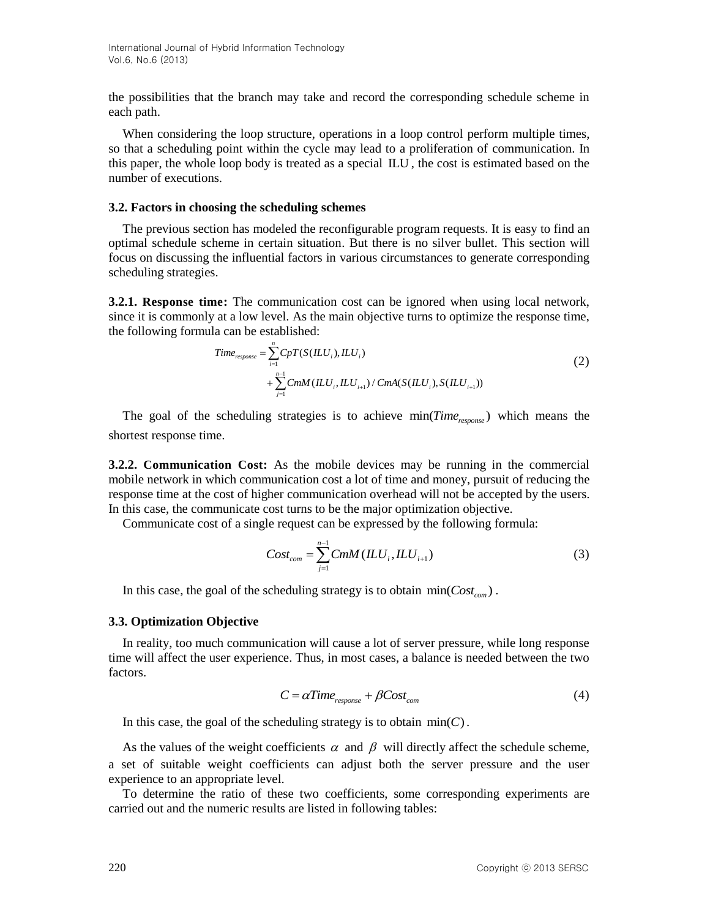the possibilities that the branch may take and record the corresponding schedule scheme in each path.

When considering the loop structure, operations in a loop control perform multiple times, so that a scheduling point within the cycle may lead to a proliferation of communication. In this paper, the whole loop body is treated as a special ILU , the cost is estimated based on the number of executions.

#### **3.2. Factors in choosing the scheduling schemes**

The previous section has modeled the reconfigurable program requests. It is easy to find an optimal schedule scheme in certain situation. But there is no silver bullet. This section will focus on discussing the influential factors in various circumstances to generate corresponding scheduling strategies.

**3.2.1. Response time:** The communication cost can be ignored when using local network, since it is commonly at a low level. As the main objective turns to optimize the response time, the following formula can be established:<br>  $Time_{response} = \sum_{i=1}^{n} CpT(S(ILU_i), ILU_i)$ 

$$
Time_{response} = \sum_{i=1}^{n} CpT(S(ILU_i), ILU_i)
$$
  
+ 
$$
\sum_{j=1}^{n-1} CmM(ILU_i, ILU_{i+1}) / CmA(S(ILU_i), S(ILU_{i+1}))
$$
 (2)

The goal of the scheduling strategies is to achieve min(*Time<sub>response*</sub>) which means the shortest response time.

**3.2.2. Communication Cost:** As the mobile devices may be running in the commercial mobile network in which communication cost a lot of time and money, pursuit of reducing the response time at the cost of higher communication overhead will not be accepted by the users. In this case, the communicate cost turns to be the major optimization objective.

Communicate cost of a single request can be expressed by the following formula:

$$
Cost_{com} = \sum_{j=1}^{n-1} CmM (ILU_i, ILU_{i+1})
$$
\n(3)

In this case, the goal of the scheduling strategy is to obtain  $\min(Cost_{com})$ .

#### **3.3. Optimization Objective**

In reality, too much communication will cause a lot of server pressure, while long response time will affect the user experience. Thus, in most cases, a balance is needed between the two factors.

$$
C = \alpha Time_{response} + \beta Cost_{com}
$$
 (4)

In this case, the goal of the scheduling strategy is to obtain  $min(C)$ .

As the values of the weight coefficients  $\alpha$  and  $\beta$  will directly affect the schedule scheme, a set of suitable weight coefficients can adjust both the server pressure and the user experience to an appropriate level.

To determine the ratio of these two coefficients, some corresponding experiments are carried out and the numeric results are listed in following tables: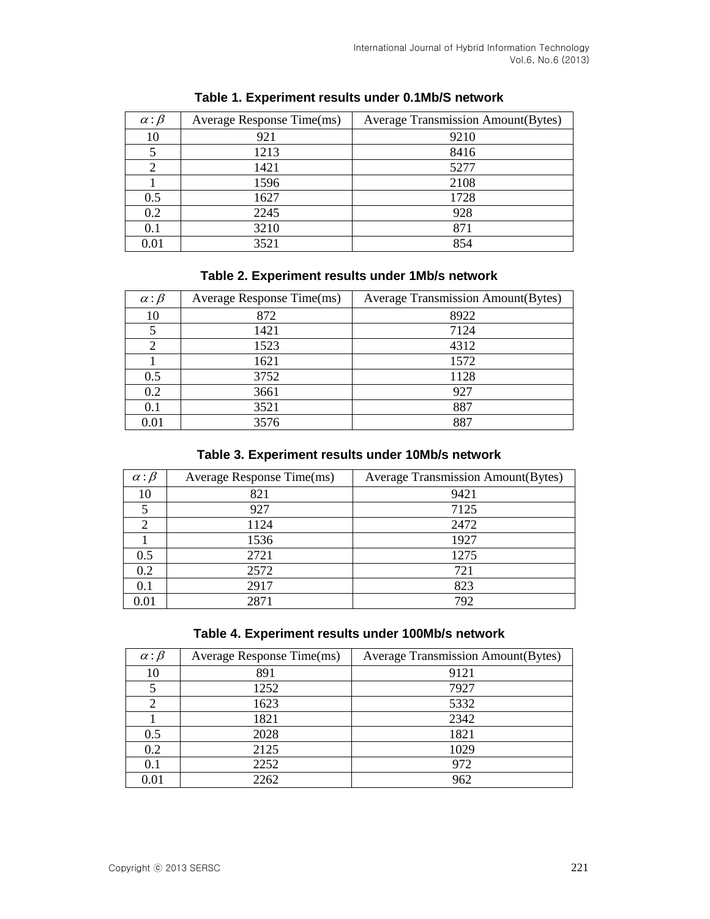| $\alpha$ : $\beta$ | Average Response Time(ms) | <b>Average Transmission Amount (Bytes)</b> |  |
|--------------------|---------------------------|--------------------------------------------|--|
| 10                 | 921                       | 9210                                       |  |
| 5                  | 1213                      | 8416                                       |  |
| ◠                  | 1421                      | 5277                                       |  |
|                    | 1596                      | 2108                                       |  |
| 0.5                | 1627                      | 1728                                       |  |
| 0.2                | 2245                      | 928                                        |  |
| 0.1                | 3210                      | 871                                        |  |
| 0.01               | 3521                      | 854                                        |  |

## **Table 1. Experiment results under 0.1Mb/S network**

## **Table 2. Experiment results under 1Mb/s network**

| $\alpha$ : $\beta$ | Average Response Time(ms) | <b>Average Transmission Amount(Bytes)</b> |  |
|--------------------|---------------------------|-------------------------------------------|--|
| 10                 | 872                       | 8922                                      |  |
|                    | 1421                      | 7124                                      |  |
|                    | 1523                      | 4312                                      |  |
|                    | 1621                      | 1572                                      |  |
| 0.5                | 3752                      | 1128                                      |  |
| 0.2                | 3661                      | 927                                       |  |
| 0.1                | 3521                      | 887                                       |  |
| 0.01               | 3576                      | 887                                       |  |

## **Table 3. Experiment results under 10Mb/s network**

| $\alpha$ : $\beta$ | Average Response Time(ms) | <b>Average Transmission Amount(Bytes)</b> |  |
|--------------------|---------------------------|-------------------------------------------|--|
| 10                 | 821                       | 9421                                      |  |
|                    | 927                       | 7125                                      |  |
|                    | 1124                      | 2472                                      |  |
|                    | 1536                      | 1927                                      |  |
| 0.5                | 2721                      | 1275                                      |  |
| 0.2                | 2572                      | 721                                       |  |
| $0.1\,$            | 2917                      | 823                                       |  |
| 0.01               | 2871                      | 792                                       |  |

## **Table 4. Experiment results under 100Mb/s network**

| $\alpha$ : $\beta$ | Average Response Time(ms) | <b>Average Transmission Amount (Bytes)</b> |  |
|--------------------|---------------------------|--------------------------------------------|--|
| 10                 | 891                       | 9121                                       |  |
|                    | 1252                      | 7927                                       |  |
|                    | 1623                      | 5332                                       |  |
|                    | 1821                      | 2342                                       |  |
| 0.5                | 2028                      | 1821                                       |  |
| 0.2                | 2125                      | 1029                                       |  |
| 0.1                | 2252                      | 972                                        |  |
| 0.01               | 2262                      | 962                                        |  |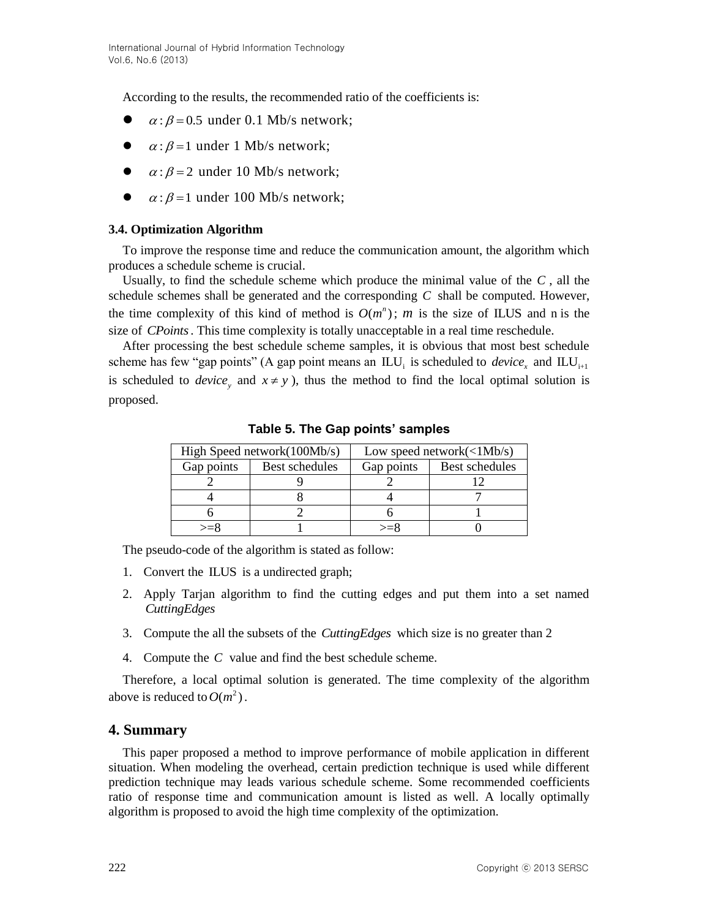According to the results, the recommended ratio of the coefficients is:

- $\bullet$  $\alpha$ :  $\beta$  = 0.5 under 0.1 Mb/s network;
- $\alpha$ :  $\beta$  = 1 under 1 Mb/s network;
- $\alpha$ :  $\beta$  = 2 under 10 Mb/s network;
- $\alpha$ :  $\beta$  = 1 under 100 Mb/s network;

#### **3.4. Optimization Algorithm**

To improve the response time and reduce the communication amount, the algorithm which produces a schedule scheme is crucial.

Usually, to find the schedule scheme which produce the minimal value of the *C* , all the schedule schemes shall be generated and the corresponding *C* shall be computed. However, the time complexity of this kind of method is  $O(m^n)$ ; *m* is the size of ILUS and n is the size of *CPoints* . This time complexity is totally unacceptable in a real time reschedule.

After processing the best schedule scheme samples, it is obvious that most best schedule scheme has few "gap points" (A gap point means an  $\mathbb{L}U_i$  is scheduled to *device*<sub>x</sub> and  $\mathbb{L}U_{i+1}$ is scheduled to *device*, and  $x \neq y$ , thus the method to find the local optimal solution is proposed.

|            | High Speed network $(100Mb/s)$ | Low speed network $(<1Mb/s)$        |                |
|------------|--------------------------------|-------------------------------------|----------------|
| Gap points | Best schedules                 | Gap points                          | Best schedules |
|            |                                |                                     |                |
|            |                                |                                     |                |
|            |                                |                                     |                |
| ∖–×        |                                | $\mathord{\sim} \mathord{\equiv}$ × |                |

**Table 5. The Gap points' samples**

The pseudo-code of the algorithm is stated as follow:

- 1. Convert the ILUS is a undirected graph;
- 2. Apply Tarjan algorithm to find the cutting edges and put them into a set named *CuttingEdges*
- 3. Compute the all the subsets of the *CuttingEdges* which size is no greater than 2
- 4. Compute the *C* value and find the best schedule scheme.

Therefore, a local optimal solution is generated. The time complexity of the algorithm above is reduced to  $O(m^2)$ .

### **4. Summary**

This paper proposed a method to improve performance of mobile application in different situation. When modeling the overhead, certain prediction technique is used while different prediction technique may leads various schedule scheme. Some recommended coefficients ratio of response time and communication amount is listed as well. A locally optimally algorithm is proposed to avoid the high time complexity of the optimization.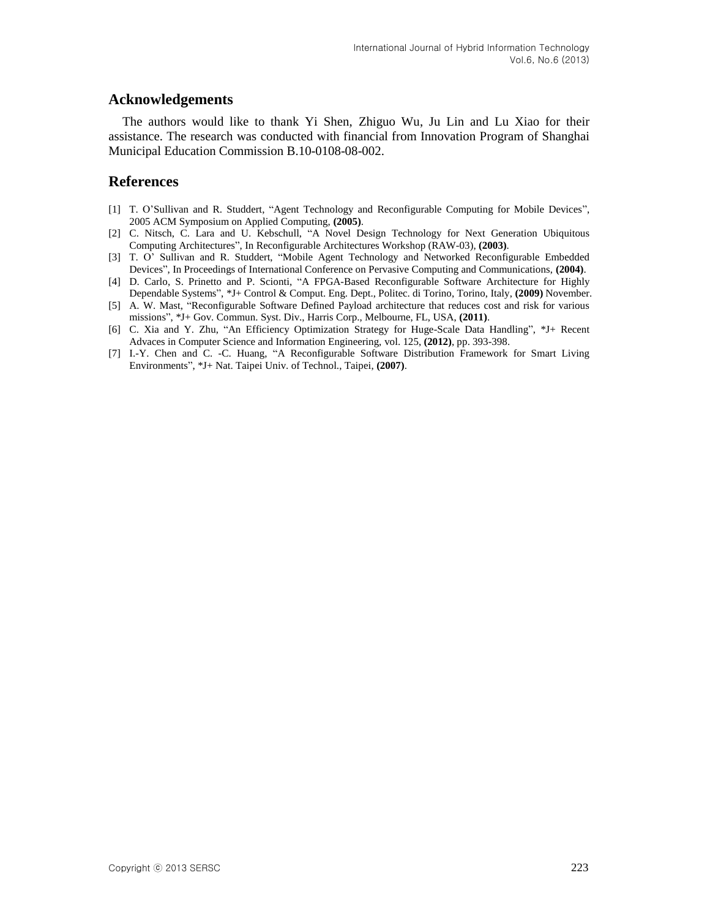### **Acknowledgements**

The authors would like to thank Yi Shen, Zhiguo Wu, Ju Lin and Lu Xiao for their assistance. The research was conducted with financial from Innovation Program of Shanghai Municipal Education Commission B.10-0108-08-002.

### **References**

- [1] T. O'Sullivan and R. Studdert, "Agent Technology and Reconfigurable Computing for Mobile Devices", 2005 ACM Symposium on Applied Computing, **(2005)**.
- [2] C. Nitsch, C. Lara and U. Kebschull, "A Novel Design Technology for Next Generation Ubiquitous Computing Architectures", In Reconfigurable Architectures Workshop (RAW-03), **(2003)**.
- [3] T. O' Sullivan and R. Studdert, "Mobile Agent Technology and Networked Reconfigurable Embedded Devices", In Proceedings of International Conference on Pervasive Computing and Communications, **(2004)**.
- [4] D. Carlo, S. Prinetto and P. Scionti, "A FPGA-Based Reconfigurable Software Architecture for Highly Dependable Systems", \*J+ Control & Comput. Eng. Dept., Politec. di Torino, Torino, Italy, **(2009)** November.
- [5] A. W. Mast, "Reconfigurable Software Defined Payload architecture that reduces cost and risk for various missions", \*J+ Gov. Commun. Syst. Div., Harris Corp., Melbourne, FL, USA, **(2011)**.
- [6] C. Xia and Y. Zhu, "An Efficiency Optimization Strategy for Huge-Scale Data Handling", \*J+ Recent Advaces in Computer Science and Information Engineering, vol. 125, **(2012)**, pp. 393-398.
- [7] I.-Y. Chen and C. -C. Huang, "A Reconfigurable Software Distribution Framework for Smart Living Environments", \*J+ Nat. Taipei Univ. of Technol., Taipei, **(2007)**.